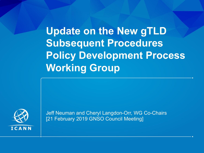**Update on the New gTLD Subsequent Procedures Policy Development Process Working Group**



Jeff Neuman and Cheryl Langdon-Orr, WG Co-Chairs [21 February 2019 GNSO Council Meeting]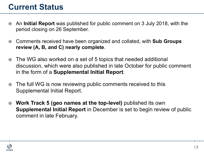#### **Current Status**

- ¤ An **Initial Report** was published for public comment on 3 July 2018, with the period closing on 26 September.
- ¤ Comments received have been organized and collated, with **Sub Groups review (A, B, and C) nearly complete**.
- ⊙ The WG also worked on a set of 5 topics that needed additional discussion, which were also published in late October for public comment in the form of a **Supplemental Initial Report**.
- **The full WG is now reviewing public comments received to this** Supplemental Initial Report.
- ¤ **Work Track 5 (geo names at the top-level)** published its own **Supplemental Initial Report** in December is set to begin review of public comment in late February.

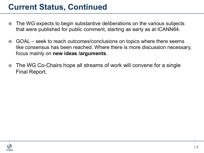#### **Current Status, Continued**

- ⊙ The WG expects to begin substantive deliberations on the various subjects that were published for public comment, starting as early as at ICANN64.
- **GOAL** seek to reach outcomes/conclusions on topics where there seems like consensus has been reached. Where there is more discussion necessary, focus mainly on **new ideas /arguments**.
- ⊙ The WG Co-Chairs hope all streams of work will convene for a single Final Report.

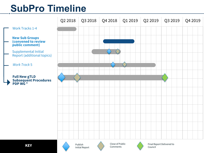# **SubPro Timeline**



Comments

Council



Initial Report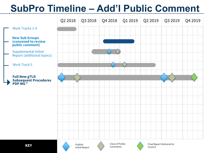# **SubPro Timeline – Add'l Public Comment**







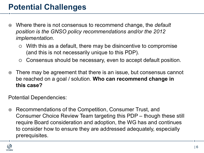### **Potential Challenges**

- ¤ Where there is not consensus to recommend change, the *default position is the GNSO policy recommendations and/or the 2012 implementation.*
	- $\circ$  With this as a default, there may be disincentive to compromise (and this is not necessarily unique to this PDP).
	- $\circ$  Consensus should be necessary, even to accept default position.
- **■** There may be agreement that there is an issue, but consensus cannot be reached on a goal / solution. **Who can recommend change in this case?**

Potential Dependencies:

**■ Recommendations of the Competition, Consumer Trust, and** Consumer Choice Review Team targeting this PDP – though these still require Board consideration and adoption, the WG has and continues to consider how to ensure they are addressed adequately, especially prerequisites.

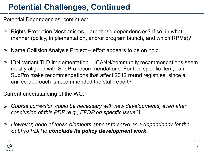### **Potential Challenges, Continued**

Potential Dependencies, continued:

- ⊙ Rights Protection Mechanisms are these dependencies? If so, in what manner (policy, implementation, and/or program launch, and which RPMs)?
- ⊙ Name Collision Analysis Project effort appears to be on hold.
- ◎ IDN Variant TLD Implementation ICANN/community recommendations seem mostly aligned with SubPro recommendations. For this specific item, can SubPro make recommendations that affect 2012 round registries, since a unified approach is recommended the staff report?

Current understanding of the WG:

- ¤ *Course correction could be necessary with new developments, even after conclusion of this PDP (e.g., EPDP on specific issue?).*
- ¤ *However, none of these elements appear to serve as a dependency for the SubPro PDP to conclude its policy development work.*

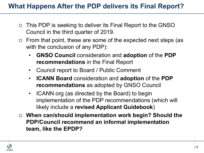#### **What Happens After the PDP delivers its Final Report?**

- $\circ$  This PDP is seeking to deliver its Final Report to the GNSO Council in the third quarter of 2019.
- $\circ$  From that point, these are some of the expected next steps (as with the conclusion of any PDP):
	- **GNSO Council** consideration and **adoption** of the **PDP recommendations** in the Final Report
	- Council report to Board / Public Comment
	- **ICANN Board** consideration and **adoption** of the **PDP recommendations** as adopted by GNSO Council
	- ICANN org (as directed by the Board) to begin implementation of the PDP recommendations (which will likely include a **revised Applicant Guidebook**)
- ¡ **When can/should implementation work begin? Should the PDP/Council recommend an informal implementation team, like the EPDP?**

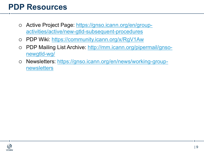#### **PDP Resources**

- o Active Project Page: https://gnso.icann.org/en/groupactivities/active/new-gtld-subsequent-procedures
- o PDP Wiki: https://community.icann.org/x/RgV1Aw
- o PDP Mailing List Archive: http://mm.icann.org/pipermail/gnsonewgtld-wg/
- o Newsletters: https://gnso.icann.org/en/news/working-groupnewsletters